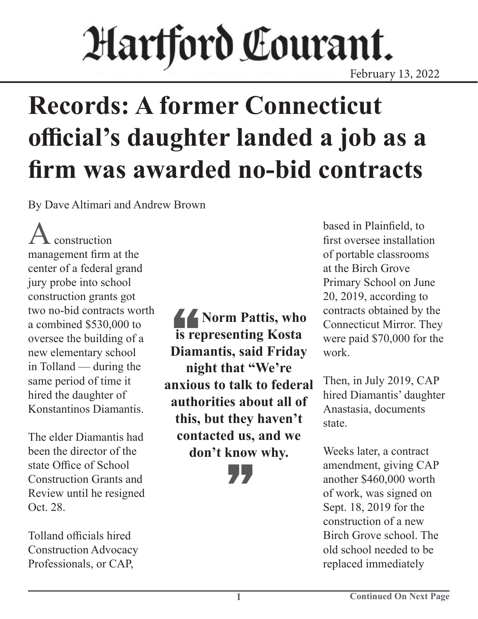## Hartford Courant. February 13, 2022

# **Records: A former Connecticut official's daughter landed a job as a firm was awarded no-bid contracts**

By Dave Altimari and Andrew Brown

construction management firm at the center of a federal grand jury probe into school construction grants got two no-bid contracts worth a combined \$530,000 to oversee the building of a new elementary school in Tolland — during the same period of time it hired the daughter of Konstantinos Diamantis.

The elder Diamantis had been the director of the state Office of School Construction Grants and Review until he resigned Oct. 28.

Tolland officials hired Construction Advocacy Professionals, or CAP,

is reported in the set of the set of the set of the set of the set of the set of the set of the set of the set of the set of the set of the set of the set of the set of the set of the set of the set of the set of the set o *K* Norm Pattis, who **is representing Kosta Diamantis, said Friday night that "We're anxious to talk to federal authorities about all of this, but they haven't contacted us, and we don't know why. "** 

based in Plainfield, to first oversee installation of portable classrooms at the Birch Grove Primary School on June 20, 2019, according to contracts obtained by the Connecticut Mirror. They were paid \$70,000 for the work.

Then, in July 2019, CAP hired Diamantis' daughter Anastasia, documents state.

Weeks later, a contract amendment, giving CAP another \$460,000 worth of work, was signed on Sept. 18, 2019 for the construction of a new Birch Grove school. The old school needed to be replaced immediately

**1**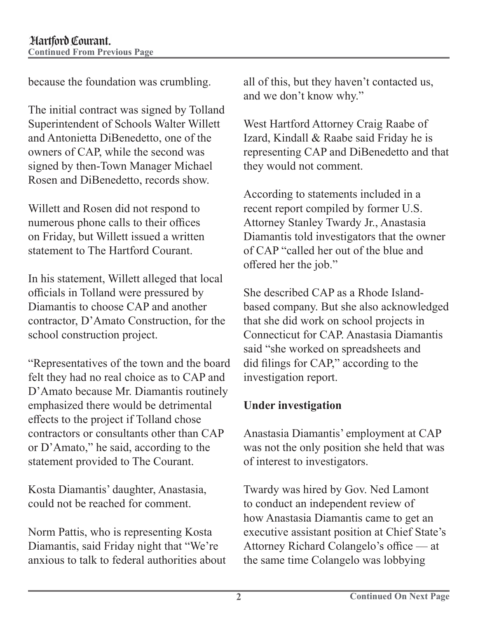because the foundation was crumbling.

The initial contract was signed by Tolland Superintendent of Schools Walter Willett and Antonietta DiBenedetto, one of the owners of CAP, while the second was signed by then-Town Manager Michael Rosen and DiBenedetto, records show.

Willett and Rosen did not respond to numerous phone calls to their offices on Friday, but Willett issued a written statement to The Hartford Courant.

In his statement, Willett alleged that local officials in Tolland were pressured by Diamantis to choose CAP and another contractor, D'Amato Construction, for the school construction project.

"Representatives of the town and the board felt they had no real choice as to CAP and D'Amato because Mr. Diamantis routinely emphasized there would be detrimental effects to the project if Tolland chose contractors or consultants other than CAP or D'Amato," he said, according to the statement provided to The Courant.

Kosta Diamantis' daughter, Anastasia, could not be reached for comment.

Norm Pattis, who is representing Kosta Diamantis, said Friday night that "We're anxious to talk to federal authorities about all of this, but they haven't contacted us, and we don't know why."

West Hartford Attorney Craig Raabe of Izard, Kindall & Raabe said Friday he is representing CAP and DiBenedetto and that they would not comment.

According to statements included in a recent report compiled by former U.S. Attorney Stanley Twardy Jr., Anastasia Diamantis told investigators that the owner of CAP "called her out of the blue and offered her the job."

She described CAP as a Rhode Islandbased company. But she also acknowledged that she did work on school projects in Connecticut for CAP. Anastasia Diamantis said "she worked on spreadsheets and did filings for CAP," according to the investigation report.

### **Under investigation**

Anastasia Diamantis' employment at CAP was not the only position she held that was of interest to investigators.

Twardy was hired by Gov. Ned Lamont to conduct an independent review of how Anastasia Diamantis came to get an executive assistant position at Chief State's Attorney Richard Colangelo's office — at the same time Colangelo was lobbying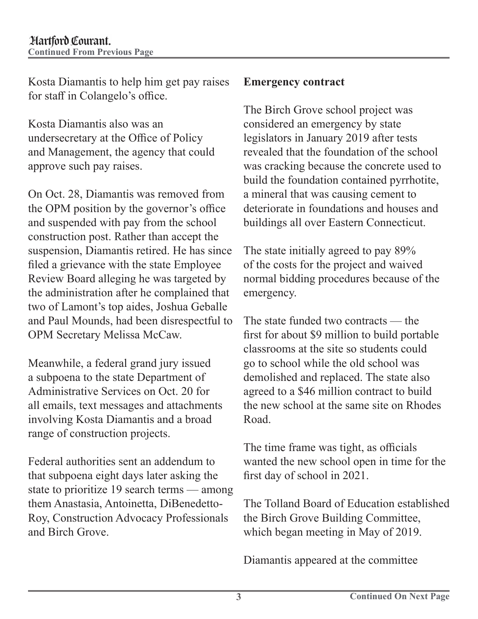Kosta Diamantis to help him get pay raises for staff in Colangelo's office.

Kosta Diamantis also was an undersecretary at the Office of Policy and Management, the agency that could approve such pay raises.

On Oct. 28, Diamantis was removed from the OPM position by the governor's office and suspended with pay from the school construction post. Rather than accept the suspension, Diamantis retired. He has since filed a grievance with the state Employee Review Board alleging he was targeted by the administration after he complained that two of Lamont's top aides, Joshua Geballe and Paul Mounds, had been disrespectful to OPM Secretary Melissa McCaw.

Meanwhile, a federal grand jury issued a subpoena to the state Department of Administrative Services on Oct. 20 for all emails, text messages and attachments involving Kosta Diamantis and a broad range of construction projects.

Federal authorities sent an addendum to that subpoena eight days later asking the state to prioritize 19 search terms — among them Anastasia, Antoinetta, DiBenedetto-Roy, Construction Advocacy Professionals and Birch Grove.

#### **Emergency contract**

The Birch Grove school project was considered an emergency by state legislators in January 2019 after tests revealed that the foundation of the school was cracking because the concrete used to build the foundation contained pyrrhotite, a mineral that was causing cement to deteriorate in foundations and houses and buildings all over Eastern Connecticut.

The state initially agreed to pay 89% of the costs for the project and waived normal bidding procedures because of the emergency.

The state funded two contracts — the first for about \$9 million to build portable classrooms at the site so students could go to school while the old school was demolished and replaced. The state also agreed to a \$46 million contract to build the new school at the same site on Rhodes Road.

The time frame was tight, as officials wanted the new school open in time for the first day of school in 2021.

The Tolland Board of Education established the Birch Grove Building Committee, which began meeting in May of 2019.

Diamantis appeared at the committee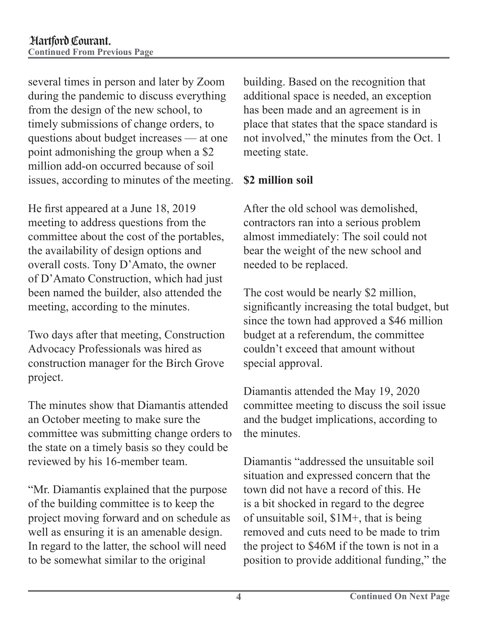several times in person and later by Zoom during the pandemic to discuss everything from the design of the new school, to timely submissions of change orders, to questions about budget increases — at one point admonishing the group when a \$2 million add-on occurred because of soil issues, according to minutes of the meeting.

He first appeared at a June 18, 2019 meeting to address questions from the committee about the cost of the portables, the availability of design options and overall costs. Tony D'Amato, the owner of D'Amato Construction, which had just been named the builder, also attended the meeting, according to the minutes.

Two days after that meeting, Construction Advocacy Professionals was hired as construction manager for the Birch Grove project.

The minutes show that Diamantis attended an October meeting to make sure the committee was submitting change orders to the state on a timely basis so they could be reviewed by his 16-member team.

"Mr. Diamantis explained that the purpose of the building committee is to keep the project moving forward and on schedule as well as ensuring it is an amenable design. In regard to the latter, the school will need to be somewhat similar to the original

building. Based on the recognition that additional space is needed, an exception has been made and an agreement is in place that states that the space standard is not involved," the minutes from the Oct. 1 meeting state.

#### **\$2 million soil**

After the old school was demolished, contractors ran into a serious problem almost immediately: The soil could not bear the weight of the new school and needed to be replaced.

The cost would be nearly \$2 million, significantly increasing the total budget, but since the town had approved a \$46 million budget at a referendum, the committee couldn't exceed that amount without special approval.

Diamantis attended the May 19, 2020 committee meeting to discuss the soil issue and the budget implications, according to the minutes.

Diamantis "addressed the unsuitable soil situation and expressed concern that the town did not have a record of this. He is a bit shocked in regard to the degree of unsuitable soil, \$1M+, that is being removed and cuts need to be made to trim the project to \$46M if the town is not in a position to provide additional funding," the